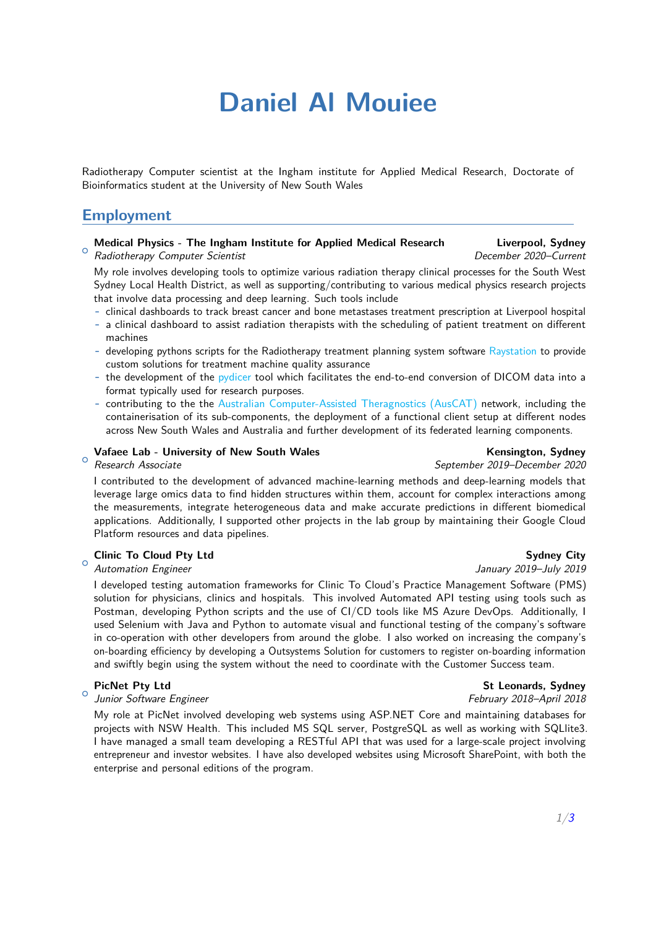# **Daniel Al Mouiee**

Radiotherapy Computer scientist at the Ingham institute for Applied Medical Research, Doctorate of Bioinformatics student at the University of New South Wales

## **Employment**

### **Medical Physics - The Ingham Institute for Applied Medical Research Liverpool, Sydney**

 $\circ$ Radiotherapy Computer Scientist December 2020–Current

My role involves developing tools to optimize various radiation therapy clinical processes for the South West Sydney Local Health District, as well as supporting/contributing to various medical physics research projects that involve data processing and deep learning. Such tools include

- **-** clinical dashboards to track breast cancer and bone metastases treatment prescription at Liverpool hospital
- **-** a clinical dashboard to assist radiation therapists with the scheduling of patient treatment on different machines
- **-** developing pythons scripts for the Radiotherapy treatment planning system software [Raystation](https://www.raysearchlabs.com/raystation/) to provide custom solutions for treatment machine quality assurance
- **-** the development of the [pydicer](https://github.com/AustralianCancerDataNetwork/pydicer) tool which facilitates the end-to-end conversion of DICOM data into a format typically used for research purposes.
- **-** contributing to the the [Australian Computer-Assisted Theragnostics \(AusCAT\)](https://australian-cancer-data.network/auscat-overview.html) network, including the containerisation of its sub-components, the deployment of a functional client setup at different nodes across New South Wales and Australia and further development of its federated learning components.

### $\circ$ Vafaee Lab - University of New South Wales **Kensington, Sydney** Kensington, Sydney

Research Associate September 2019–December 2020

I contributed to the development of advanced machine-learning methods and deep-learning models that leverage large omics data to find hidden structures within them, account for complex interactions among the measurements, integrate heterogeneous data and make accurate predictions in different biomedical applications. Additionally, I supported other projects in the lab group by maintaining their Google Cloud Platform resources and data pipelines.

### **Clinic To Cloud Pty Ltd** Sydney City

### $\circ$ Automation Engineer and The Secret 2019–July 2019–July 2019

I developed testing automation frameworks for Clinic To Cloud's Practice Management Software (PMS) solution for physicians, clinics and hospitals. This involved Automated API testing using tools such as Postman, developing Python scripts and the use of CI/CD tools like MS Azure DevOps. Additionally, I used Selenium with Java and Python to automate visual and functional testing of the company's software in co-operation with other developers from around the globe. I also worked on increasing the company's on-boarding efficiency by developing a Outsystems Solution for customers to register on-boarding information and swiftly begin using the system without the need to coordinate with the Customer Success team.

 $\circ$ Junior Software Engineer February 2018–April 2018

My role at PicNet involved developing web systems using ASP.NET Core and maintaining databases for projects with NSW Health. This included MS SQL server, PostgreSQL as well as working with SQLlite3. I have managed a small team developing a RESTful API that was used for a large-scale project involving entrepreneur and investor websites. I have also developed websites using Microsoft SharePoint, with both the enterprise and personal editions of the program.

**PicNet Pty Ltd** St Leonards, Sydney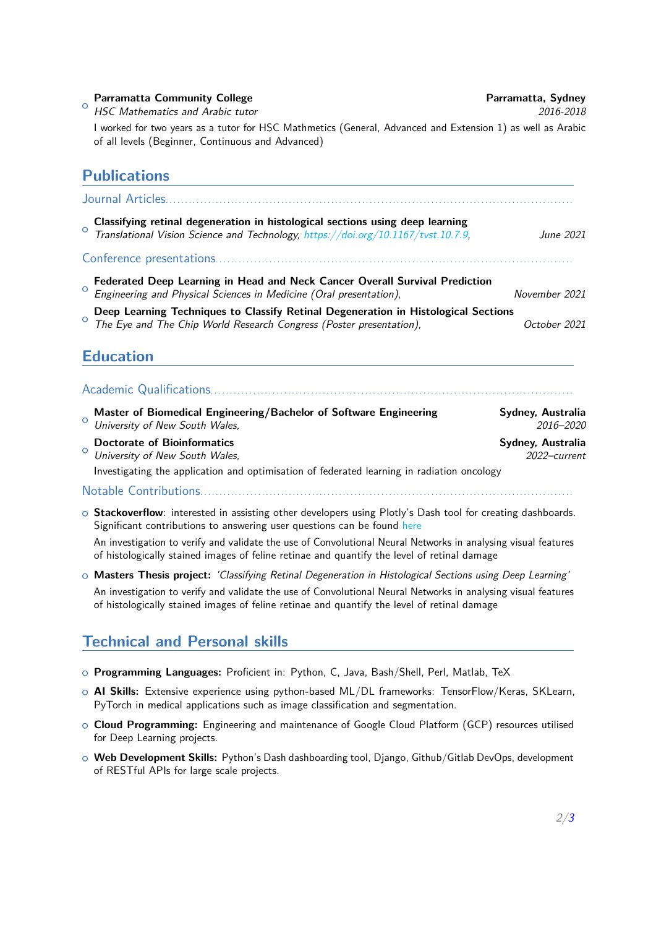# <sup>o</sup> HSC Mathematics and Arabic tutor 2016-2018 **Parramatta Community College Parramatta, Sydney** I worked for two years as a tutor for HSC Mathmetics (General, Advanced and Extension 1) as well as Arabic of all levels (Beginner, Continuous and Advanced) **Publications** Journal Articles..........................................................................................................  $\circ$ **Classifying retinal degeneration in histological sections using deep learning** Translational Vision Science and Technology, [https://doi.org/10.1167/tvst.10.7.9,](https://doi.org/10.1167/tvst.10.7.9) June 2021 Conference presentations.............................................................................................  $\circ$ **Federated Deep Learning in Head and Neck Cancer Overall Survival Prediction** Engineering and Physical Sciences in Medicine (Oral presentation), November 2021  $\circ$ **Deep Learning Techniques to Classify Retinal Degeneration in Histological Sections** The Eye and The Chip World Research Congress (Poster presentation), Social Research October 2021 **Education** Academic Qualifications.............................................................................................. O University of New South Wales,  $\frac{3}{2}$  and  $\frac{3}{2}$  and  $\frac{3}{2}$  2016–2020 **Master of Biomedical Engineering/Bachelor of Software Engineering Sydney, Australia**  $\circ$ **Doctorate of Bioinformatics Sydney, Australia** University of New South Wales,  $2022$ -current Investigating the application and optimisation of federated learning in radiation oncology Notable Contributions.......

o **Stackoverflow**: interested in assisting other developers using Plotly's Dash tool for creating dashboards. Significant contributions to answering user questions can be found [here](https://stackoverflow.com/users/8707337/daniel-al-mouiee)

An investigation to verify and validate the use of Convolutional Neural Networks in analysing visual features of histologically stained images of feline retinae and quantify the level of retinal damage

<sup>+</sup> **Masters Thesis project:** 'Classifying Retinal Degeneration in Histological Sections using Deep Learning' An investigation to verify and validate the use of Convolutional Neural Networks in analysing visual features of histologically stained images of feline retinae and quantify the level of retinal damage

# <span id="page-1-0"></span>**Technical and Personal skills**

- <sup>+</sup> **Programming Languages:** Proficient in: Python, C, Java, Bash/Shell, Perl, Matlab, TeX
- <sup>+</sup> **AI Skills:** Extensive experience using python-based ML/DL frameworks: TensorFlow/Keras, SKLearn, PyTorch in medical applications such as image classification and segmentation.
- <sup>+</sup> **Cloud Programming:** Engineering and maintenance of Google Cloud Platform (GCP) resources utilised for Deep Learning projects.
- <sup>+</sup> **Web Development Skills:** Python's Dash dashboarding tool, Django, Github/Gitlab DevOps, development of RESTful APIs for large scale projects.